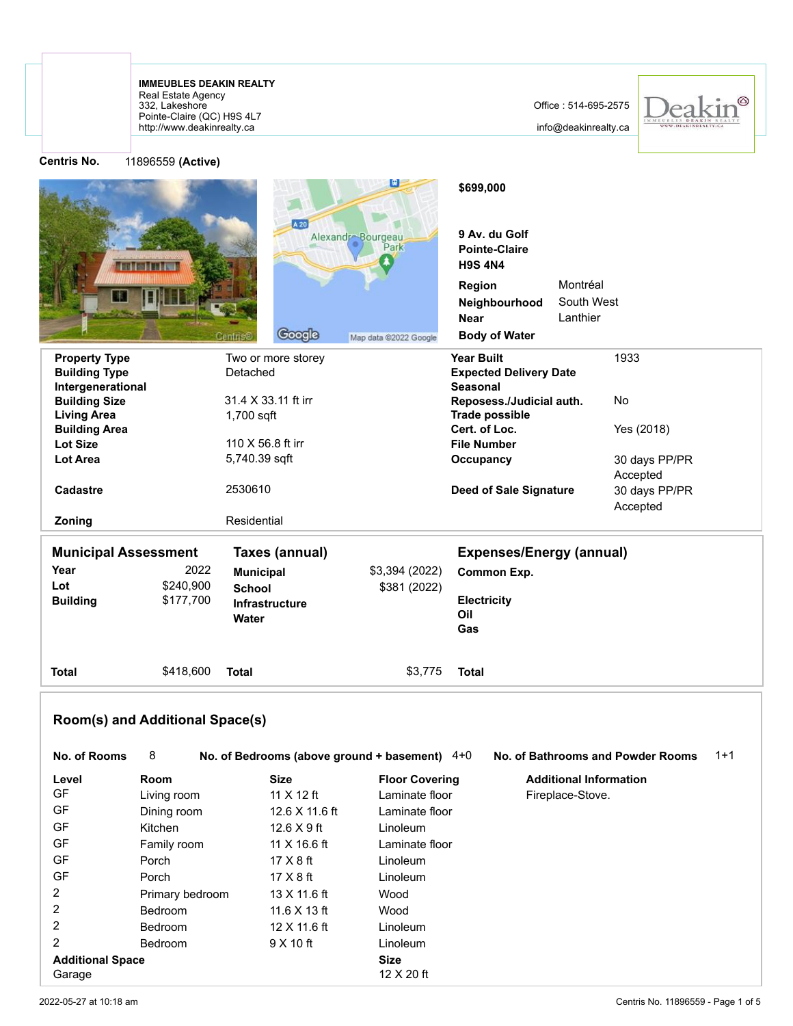http://www.deakinrealty.ca Pointe-Claire (QC) H9S 4L7 332, Lakeshore Real Estate Agency **IMMEUBLES DEAKIN REALTY**

GF Kitchen 12.6 X 9 ft Linoleum GF Family room 11 X 16.6 ft Laminate floor GF Porch 17 X 8 ft Linoleum GF Porch 17 X 8 ft Linoleum 2 Primary bedroom 13 X 11.6 ft Wood 2 Bedroom 11.6 X 13 ft Wood 2 Bedroom 12 X 11.6 ft Linoleum 2 Bedroom 9 X 10 ft Linoleum **Additional Space Size** Garage 12 X 20 ft

info@deakinrealty.ca



**Centris No.** 11896559 **(Active)**

| וייז כווווז.                               | <b>LIOSOODS (WEILDE)</b> |                                               |                           |                                                         |                        |                                   |       |
|--------------------------------------------|--------------------------|-----------------------------------------------|---------------------------|---------------------------------------------------------|------------------------|-----------------------------------|-------|
|                                            |                          | A 20                                          |                           | \$699,000                                               |                        |                                   |       |
|                                            |                          |                                               | Alexandr Bourgeau<br>Park | 9 Av. du Golf<br><b>Pointe-Claire</b><br><b>H9S 4N4</b> |                        |                                   |       |
|                                            |                          |                                               |                           | Region                                                  | Montréal               |                                   |       |
|                                            |                          |                                               |                           | Neighbourhood<br><b>Near</b>                            | South West<br>Lanthier |                                   |       |
|                                            |                          | Google<br>Centris                             | Map data @2022 Google     | <b>Body of Water</b>                                    |                        |                                   |       |
| <b>Property Type</b>                       |                          | Two or more storey                            |                           | <b>Year Built</b>                                       |                        | 1933                              |       |
| <b>Building Type</b><br>Intergenerational  |                          | Detached                                      |                           | <b>Expected Delivery Date</b><br><b>Seasonal</b>        |                        |                                   |       |
| <b>Building Size</b>                       |                          | 31.4 X 33.11 ft irr                           |                           | Reposess./Judicial auth.                                |                        | No                                |       |
| <b>Living Area</b><br><b>Building Area</b> |                          | 1,700 sqft                                    |                           | <b>Trade possible</b><br>Cert. of Loc.                  |                        | Yes (2018)                        |       |
| <b>Lot Size</b>                            |                          | 110 X 56.8 ft irr                             |                           | <b>File Number</b>                                      |                        |                                   |       |
| Lot Area                                   |                          | 5,740.39 sqft                                 |                           | Occupancy                                               |                        | 30 days PP/PR                     |       |
|                                            |                          |                                               |                           |                                                         |                        | Accepted                          |       |
| Cadastre                                   |                          | 2530610                                       |                           | <b>Deed of Sale Signature</b>                           |                        | 30 days PP/PR<br>Accepted         |       |
| Zoning                                     |                          | Residential                                   |                           |                                                         |                        |                                   |       |
| <b>Municipal Assessment</b>                |                          | Taxes (annual)                                |                           | <b>Expenses/Energy (annual)</b>                         |                        |                                   |       |
| Year                                       | 2022                     | <b>Municipal</b>                              | \$3,394 (2022)            | Common Exp.                                             |                        |                                   |       |
| Lot                                        | \$240,900                | <b>School</b>                                 | \$381 (2022)              |                                                         |                        |                                   |       |
| <b>Building</b>                            | \$177,700                | Infrastructure                                |                           | Electricity                                             |                        |                                   |       |
|                                            |                          | Water                                         |                           | Oil<br>Gas                                              |                        |                                   |       |
| Total                                      | \$418,600                | <b>Total</b>                                  | \$3,775                   | <b>Total</b>                                            |                        |                                   |       |
| Room(s) and Additional Space(s)            |                          |                                               |                           |                                                         |                        |                                   |       |
| <b>No. of Rooms</b>                        | 8                        | No. of Bedrooms (above ground + basement) 4+0 |                           |                                                         |                        | No. of Bathrooms and Powder Rooms | $1+1$ |
| Level                                      | <b>Room</b>              | <b>Size</b>                                   | <b>Floor Covering</b>     | <b>Additional Information</b>                           |                        |                                   |       |
| GF                                         | Living room              | 11 $X$ 12 ft                                  | Laminate floor            |                                                         | Fireplace-Stove.       |                                   |       |
| GF                                         | Dining room              | 12.6 X 11.6 ft                                | Laminate floor            |                                                         |                        |                                   |       |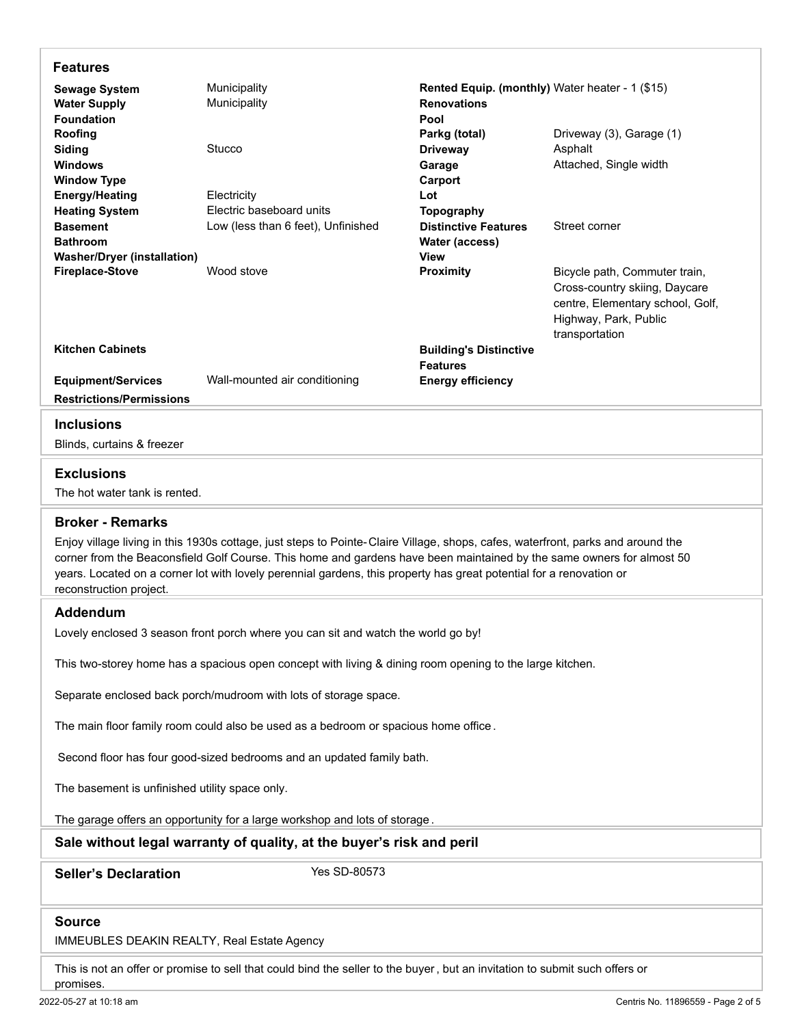| <b>Features</b>                                                                                                                                                                                                                                                                                                                                                                                            |                                         |                                                                               |                                                                                                                                               |  |  |  |  |  |  |  |
|------------------------------------------------------------------------------------------------------------------------------------------------------------------------------------------------------------------------------------------------------------------------------------------------------------------------------------------------------------------------------------------------------------|-----------------------------------------|-------------------------------------------------------------------------------|-----------------------------------------------------------------------------------------------------------------------------------------------|--|--|--|--|--|--|--|
| <b>Sewage System</b><br><b>Water Supply</b><br><b>Foundation</b>                                                                                                                                                                                                                                                                                                                                           | Municipality<br>Municipality            | Rented Equip. (monthly) Water heater - 1 (\$15)<br><b>Renovations</b><br>Pool |                                                                                                                                               |  |  |  |  |  |  |  |
| Roofing<br>Siding<br><b>Windows</b>                                                                                                                                                                                                                                                                                                                                                                        | Stucco                                  | Parkg (total)<br><b>Driveway</b><br>Garage                                    | Driveway (3), Garage (1)<br>Asphalt<br>Attached, Single width                                                                                 |  |  |  |  |  |  |  |
| <b>Window Type</b><br><b>Energy/Heating</b><br><b>Heating System</b>                                                                                                                                                                                                                                                                                                                                       | Electricity<br>Electric baseboard units | Carport<br>Lot<br>Topography                                                  |                                                                                                                                               |  |  |  |  |  |  |  |
| <b>Basement</b><br><b>Bathroom</b><br><b>Washer/Dryer (installation)</b>                                                                                                                                                                                                                                                                                                                                   | Low (less than 6 feet), Unfinished      | <b>Distinctive Features</b><br>Water (access)<br>View                         | Street corner                                                                                                                                 |  |  |  |  |  |  |  |
| <b>Fireplace-Stove</b>                                                                                                                                                                                                                                                                                                                                                                                     | Wood stove                              | Proximity                                                                     | Bicycle path, Commuter train,<br>Cross-country skiing, Daycare<br>centre, Elementary school, Golf,<br>Highway, Park, Public<br>transportation |  |  |  |  |  |  |  |
| <b>Kitchen Cabinets</b>                                                                                                                                                                                                                                                                                                                                                                                    |                                         | <b>Building's Distinctive</b><br><b>Features</b>                              |                                                                                                                                               |  |  |  |  |  |  |  |
| <b>Equipment/Services</b><br><b>Restrictions/Permissions</b>                                                                                                                                                                                                                                                                                                                                               | Wall-mounted air conditioning           | <b>Energy efficiency</b>                                                      |                                                                                                                                               |  |  |  |  |  |  |  |
| <b>Inclusions</b>                                                                                                                                                                                                                                                                                                                                                                                          |                                         |                                                                               |                                                                                                                                               |  |  |  |  |  |  |  |
| Blinds, curtains & freezer                                                                                                                                                                                                                                                                                                                                                                                 |                                         |                                                                               |                                                                                                                                               |  |  |  |  |  |  |  |
| <b>Exclusions</b><br>The hot water tank is rented.                                                                                                                                                                                                                                                                                                                                                         |                                         |                                                                               |                                                                                                                                               |  |  |  |  |  |  |  |
| <b>Broker - Remarks</b>                                                                                                                                                                                                                                                                                                                                                                                    |                                         |                                                                               |                                                                                                                                               |  |  |  |  |  |  |  |
| Enjoy village living in this 1930s cottage, just steps to Pointe-Claire Village, shops, cafes, waterfront, parks and around the<br>corner from the Beaconsfield Golf Course. This home and gardens have been maintained by the same owners for almost 50<br>years. Located on a corner lot with lovely perennial gardens, this property has great potential for a renovation or<br>reconstruction project. |                                         |                                                                               |                                                                                                                                               |  |  |  |  |  |  |  |
| <b>Addendum</b>                                                                                                                                                                                                                                                                                                                                                                                            |                                         |                                                                               |                                                                                                                                               |  |  |  |  |  |  |  |
| Lovely enclosed 3 season front porch where you can sit and watch the world go by!                                                                                                                                                                                                                                                                                                                          |                                         |                                                                               |                                                                                                                                               |  |  |  |  |  |  |  |
| This two-storey home has a spacious open concept with living & dining room opening to the large kitchen.                                                                                                                                                                                                                                                                                                   |                                         |                                                                               |                                                                                                                                               |  |  |  |  |  |  |  |
| Separate enclosed back porch/mudroom with lots of storage space.                                                                                                                                                                                                                                                                                                                                           |                                         |                                                                               |                                                                                                                                               |  |  |  |  |  |  |  |
| The main floor family room could also be used as a bedroom or spacious home office.                                                                                                                                                                                                                                                                                                                        |                                         |                                                                               |                                                                                                                                               |  |  |  |  |  |  |  |
| Second floor has four good-sized bedrooms and an updated family bath.                                                                                                                                                                                                                                                                                                                                      |                                         |                                                                               |                                                                                                                                               |  |  |  |  |  |  |  |
| The basement is unfinished utility space only.                                                                                                                                                                                                                                                                                                                                                             |                                         |                                                                               |                                                                                                                                               |  |  |  |  |  |  |  |
| The garage offers an opportunity for a large workshop and lots of storage.                                                                                                                                                                                                                                                                                                                                 |                                         |                                                                               |                                                                                                                                               |  |  |  |  |  |  |  |
| Sale without legal warranty of quality, at the buyer's risk and peril                                                                                                                                                                                                                                                                                                                                      |                                         |                                                                               |                                                                                                                                               |  |  |  |  |  |  |  |
| <b>Seller's Declaration</b>                                                                                                                                                                                                                                                                                                                                                                                | Yes SD-80573                            |                                                                               |                                                                                                                                               |  |  |  |  |  |  |  |
| <b>Source</b><br>IMMEUBLES DEAKIN REALTY, Real Estate Agency                                                                                                                                                                                                                                                                                                                                               |                                         |                                                                               |                                                                                                                                               |  |  |  |  |  |  |  |

This is not an offer or promise to sell that could bind the seller to the buyer, but an invitation to submit such offers or

promises.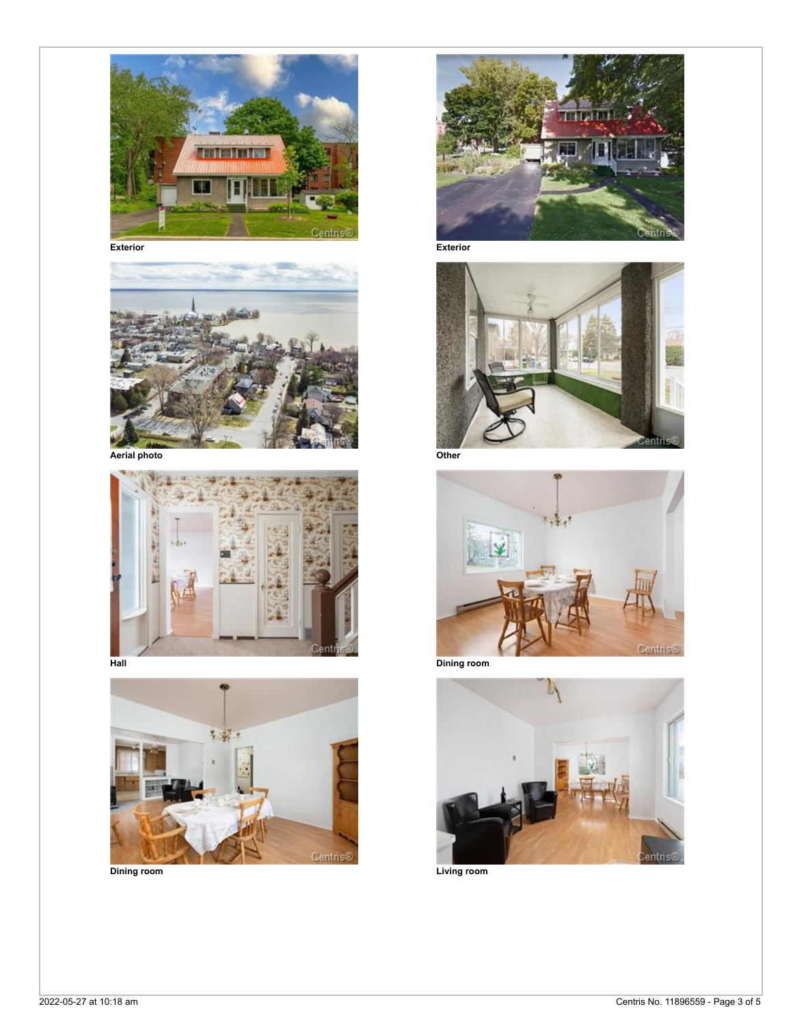













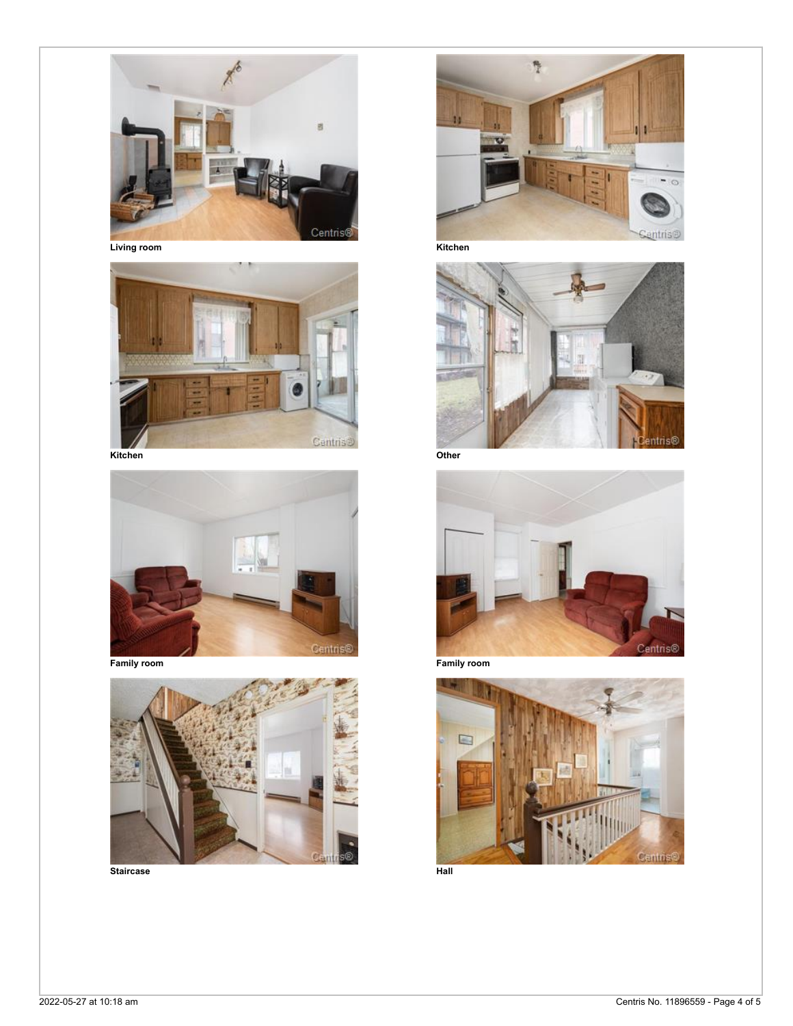